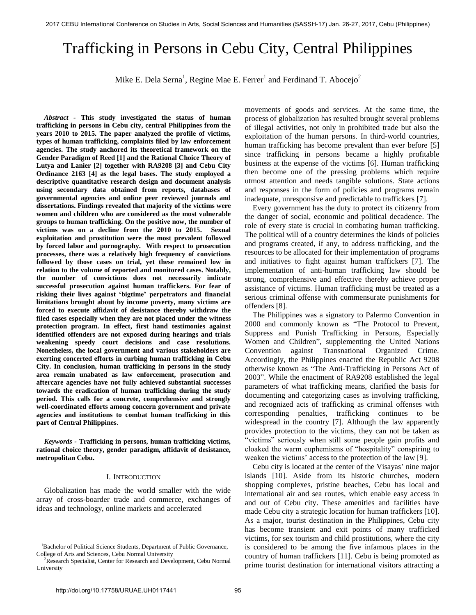# Trafficking in Persons in Cebu City, Central Philippines

Mike E. Dela Serna<sup>1</sup>, Regine Mae E. Ferrer<sup>1</sup> and Ferdinand T. Abocejo<sup>2</sup>

*Abstract -* **This study investigated the status of human trafficking in persons in Cebu city, central Philippines from the years 2010 to 2015. The paper analyzed the profile of victims, types of human trafficking, complaints filed by law enforcement agencies. The study anchored its theoretical framework on the Gender Paradigm of Reed [1] and the Rational Choice Theory of Lutya and Lanier [2] together with RA9208 [3] and Cebu City Ordinance 2163 [4] as the legal bases. The study employed a descriptive quantitative research design and document analysis using secondary data obtained from reports, databases of governmental agencies and online peer reviewed journals and dissertations. Findings revealed that majority of the victims were women and children who are considered as the most vulnerable groups to human trafficking. On the positive now, the number of victims was on a decline from the 2010 to 2015. Sexual exploitation and prostitution were the most prevalent followed by forced labor and pornography. With respect to prosecution processes, there was a relatively high frequency of convictions followed by those cases on trial, yet these remained low in relation to the volume of reported and monitored cases. Notably, the number of convictions does not necessarily indicate successful prosecution against human traffickers. For fear of risking their lives against 'bigtime' perpetrators and financial limitations brought about by income poverty, many victims are forced to execute affidavit of desistance thereby withdraw the filed cases especially when they are not placed under the witness protection program. In effect, first hand testimonies against identified offenders are not exposed during hearings and trials weakening speedy court decisions and case resolutions. Nonetheless, the local government and various stakeholders are exerting concerted efforts in curbing human trafficking in Cebu City. In conclusion, human trafficking in persons in the study area remain unabated as law enforcement, prosecution and aftercare agencies have not fully achieved substantial successes towards the eradication of human trafficking during the study period. This calls for a concrete, comprehensive and strongly well-coordinated efforts among concern government and private agencies and institutions to combat human trafficking in this part of Central Philippines**.

*Keywords -* **Trafficking in persons, human trafficking victims, rational choice theory, gender paradigm, affidavit of desistance, metropolitan Cebu.** 

#### I. INTRODUCTION

Globalization has made the world smaller with the wide array of cross-boarder trade and commerce, exchanges of ideas and technology, online markets and accelerated

movements of goods and services. At the same time, the process of globalization has resulted brought several problems of illegal activities, not only in prohibited trade but also the exploitation of the human persons. In third-world countries, human trafficking has become prevalent than ever before [5] since trafficking in persons became a highly profitable business at the expense of the victims [6]. Human trafficking then become one of the pressing problems which require utmost attention and needs tangible solutions. State actions and responses in the form of policies and programs remain inadequate, unresponsive and predictable to traffickers [7].

Every government has the duty to protect its citizenry from the danger of social, economic and political decadence. The role of every state is crucial in combating human trafficking. The political will of a country determines the kinds of policies and programs created, if any, to address trafficking, and the resources to be allocated for their implementation of programs and initiatives to fight against human traffickers [7]. The implementation of anti-human trafficking law should be strong, comprehensive and effective thereby achieve proper assistance of victims. Human trafficking must be treated as a serious criminal offense with commensurate punishments for offenders [8].

The Philippines was a signatory to Palermo Convention in 2000 and commonly known as "The Protocol to Prevent, Suppress and Punish Trafficking in Persons, Especially Women and Children", supplementing the United Nations Convention against Transnational Organized Crime. Accordingly, the Philippines enacted the Republic Act 9208 otherwise known as "The Anti-Trafficking in Persons Act of 2003". While the enactment of RA9208 established the legal parameters of what trafficking means, clarified the basis for documenting and categorizing cases as involving trafficking, and recognized acts of trafficking as criminal offenses with corresponding penalties, trafficking continues to be widespread in the country [7]. Although the law apparently provides protection to the victims, they can not be taken as "victims" seriously when still some people gain profits and cloaked the warm euphemisms of "hospitality" conspiring to weaken the victims' access to the protection of the law [9].

Cebu city is located at the center of the Visayas' nine major islands [10]. Aside from its historic churches, modern shopping complexes, pristine beaches, Cebu has local and international air and sea routes, which enable easy access in and out of Cebu city. These amenities and facilities have made Cebu city a strategic location for human traffickers [10]. As a major, tourist destination in the Philippines, Cebu city has become transient and exit points of many trafficked victims, for sex tourism and child prostitutions, where the city is considered to be among the five infamous places in the country of human traffickers [11]. Cebu is being promoted as prime tourist destination for international visitors attracting a

<sup>&</sup>lt;sup>1</sup>Bachelor of Political Science Students, Department of Public Governance, College of Arts and Sciences, Cebu Normal University

<sup>&</sup>lt;sup>2</sup>Research Specialist, Center for Research and Development, Cebu Normal University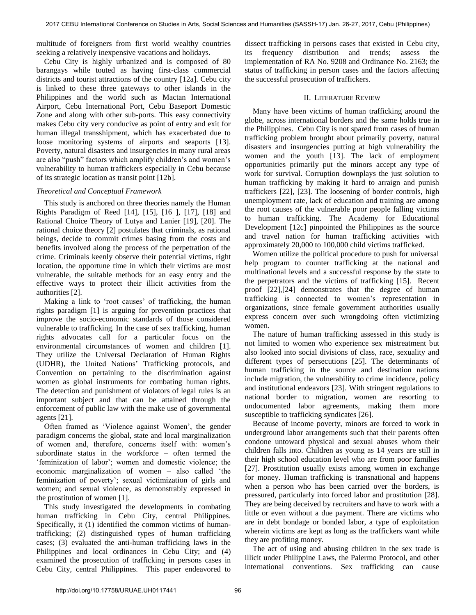multitude of foreigners from first world wealthy countries seeking a relatively inexpensive vacations and holidays.

Cebu City is highly urbanized and is composed of 80 barangays while touted as having first-class commercial districts and tourist attractions of the country [12a]. Cebu city is linked to these three gateways to other islands in the Philippines and the world such as Mactan International Airport, Cebu International Port, Cebu Baseport Domestic Zone and along with other sub-ports. This easy connectivity makes Cebu city very conducive as point of entry and exit for human illegal transshipment, which has exacerbated due to loose monitoring systems of airports and seaports [13]. Poverty, natural disasters and insurgencies in many rural areas are also "push" factors which amplify children's and women's vulnerability to human traffickers especially in Cebu because of its strategic location as transit point [12b].

## *Theoretical and Conceptual Framework*

This study is anchored on three theories namely the Human Rights Paradigm of Reed [14], [15], [16 ], [17], [18] and Rational Choice Theory of Lutya and Lanier [19], [20]. The rational choice theory [2] postulates that criminals, as rational beings, decide to commit crimes basing from the costs and benefits involved along the process of the perpetration of the crime. Criminals keenly observe their potential victims, right location, the opportune time in which their victims are most vulnerable, the suitable methods for an easy entry and the effective ways to protect their illicit activities from the authorities [2].

Making a link to 'root causes' of trafficking, the human rights paradigm [1] is arguing for prevention practices that improve the socio-economic standards of those considered vulnerable to trafficking. In the case of sex trafficking, human rights advocates call for a particular focus on the environmental circumstances of women and children [1]. They utilize the Universal Declaration of Human Rights (UDHR), the United Nations' Trafficking protocols, and Convention on pertaining to the discrimination against women as global instruments for combating human rights. The detection and punishment of violators of legal rules is an important subject and that can be attained through the enforcement of public law with the make use of governmental agents [21].

Often framed as 'Violence against Women', the gender paradigm concerns the global, state and local marginalization of women and, therefore, concerns itself with: women's subordinate status in the workforce – often termed the 'feminization of labor'; women and domestic violence; the economic marginalization of women – also called 'the feminization of poverty'; sexual victimization of girls and women; and sexual violence, as demonstrably expressed in the prostitution of women [1].

This study investigated the developments in combating human trafficking in Cebu City, central Philippines. Specifically, it (1) identified the common victims of humantrafficking; (2) distinguished types of human trafficking cases; (3) evaluated the anti-human trafficking laws in the Philippines and local ordinances in Cebu City; and (4) examined the prosecution of trafficking in persons cases in Cebu City, central Philippines. This paper endeavored to

dissect trafficking in persons cases that existed in Cebu city, its frequency distribution and trends; assess the implementation of RA No. 9208 and Ordinance No. 2163; the status of trafficking in person cases and the factors affecting the successful prosecution of traffickers.

## II. LITERATURE REVIEW

Many have been victims of human trafficking around the globe, across international borders and the same holds true in the Philippines. Cebu City is not spared from cases of human trafficking problem brought about primarily poverty, natural disasters and insurgencies putting at high vulnerability the women and the youth [13]. The lack of employment opportunities primarily put the minors accept any type of work for survival. Corruption downplays the just solution to human trafficking by making it hard to arraign and punish traffickers [22], [23]. The loosening of border controls, high unemployment rate, lack of education and training are among the root causes of the vulnerable poor people falling victims to human trafficking. The Academy for Educational Development [12c] pinpointed the Philippines as the source and travel nation for human trafficking activities with approximately 20,000 to 100,000 child victims trafficked.

Women utilize the political procedure to push for universal help program to counter trafficking at the national and multinational levels and a successful response by the state to the perpetrators and the victims of trafficking [15]. Recent proof [22],[24] demonstrates that the degree of human trafficking is connected to women's representation in organizations, since female government authorities usually express concern over such wrongdoing often victimizing women.

The nature of human trafficking assessed in this study is not limited to women who experience sex mistreatment but also looked into social divisions of class, race, sexuality and different types of persecutions [25]. The determinants of human trafficking in the source and destination nations include migration, the vulnerability to crime incidence, policy and institutional endeavors [23]. With stringent regulations to national border to migration, women are resorting to undocumented labor agreements, making them more susceptible to trafficking syndicates [26].

Because of income poverty, minors are forced to work in underground labor arrangements such that their parents often condone untoward physical and sexual abuses whom their children falls into. Children as young as 14 years are still in their high school education level who are from poor families [27]. Prostitution usually exists among women in exchange for money. Human trafficking is transnational and happens when a person who has been carried over the borders, is pressured, particularly into forced labor and prostitution [28]. They are being deceived by recruiters and have to work with a little or even without a due payment. There are victims who are in debt bondage or bonded labor, a type of exploitation wherein victims are kept as long as the traffickers want while they are profiting money.

The act of using and abusing children in the sex trade is illicit under Philippine Laws, the Palermo Protocol, and other international conventions. Sex trafficking can cause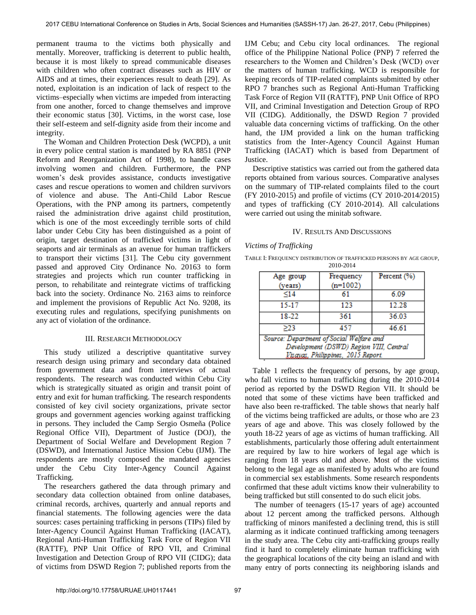permanent trauma to the victims both physically and mentally. Moreover, trafficking is deterrent to public health, because it is most likely to spread communicable diseases with children who often contract diseases such as HIV or AIDS and at times, their experiences result to death [29]. As noted, exploitation is an indication of lack of respect to the victims–especially when victims are impeded from interacting from one another, forced to change themselves and improve their economic status [30]. Victims, in the worst case, lose their self-esteem and self-dignity aside from their income and integrity.

The Woman and Children Protection Desk (WCPD), a unit in every police central station is mandated by RA 8851 (PNP Reform and Reorganization Act of 1998), to handle cases involving women and children. Furthermore, the PNP women's desk provides assistance, conducts investigative cases and rescue operations to women and children survivors of violence and abuse. The Anti-Child Labor Rescue Operations, with the PNP among its partners, competently raised the administration drive against child prostitution, which is one of the most exceedingly terrible sorts of child labor under Cebu City has been distinguished as a point of origin, target destination of trafficked victims in light of seaports and air terminals as an avenue for human traffickers to transport their victims [31]. The Cebu city government passed and approved City Ordinance No. 20163 to form strategies and projects which run counter trafficking in person, to rehabilitate and reintegrate victims of trafficking back into the society. Ordinance No. 2163 aims to reinforce and implement the provisions of Republic Act No. 9208, its executing rules and regulations, specifying punishments on any act of violation of the ordinance.

### III. RESEARCH METHODOLOGY

This study utilized a descriptive quantitative survey research design using primary and secondary data obtained from government data and from interviews of actual respondents. The research was conducted within Cebu City which is strategically situated as origin and transit point of entry and exit for human trafficking. The research respondents consisted of key civil society organizations, private sector groups and government agencies working against trafficking in persons. They included the Camp Sergio Osmeña (Police Regional Office VII), Department of Justice (DOJ), the Department of Social Welfare and Development Region 7 (DSWD), and International Justice Mission Cebu (IJM). The respondents are mostly composed the mandated agencies under the Cebu City Inter-Agency Council Against Trafficking.

The researchers gathered the data through primary and secondary data collection obtained from online databases, criminal records, archives, quarterly and annual reports and financial statements. The following agencies were the data sources: cases pertaining trafficking in persons (TIPs) filed by Inter-Agency Council Against Human Trafficking (IACAT), Regional Anti-Human Trafficking Task Force of Region VII (RATTF), PNP Unit Office of RPO VII, and Criminal Investigation and Detection Group of RPO VII (CIDG); data of victims from DSWD Region 7; published reports from the

IJM Cebu; and Cebu city local ordinances. The regional office of the Philippine National Police (PNP) 7 referred the researchers to the Women and Children's Desk (WCD) over the matters of human trafficking. WCD is responsible for keeping records of TIP-related complaints submitted by other RPO 7 branches such as Regional Anti-Human Trafficking Task Force of Region VII (RATTF), PNP Unit Office of RPO VII, and Criminal Investigation and Detection Group of RPO VII (CIDG). Additionally, the DSWD Region 7 provided valuable data concerning victims of trafficking. On the other hand, the IJM provided a link on the human trafficking statistics from the Inter-Agency Council Against Human Trafficking (IACAT) which is based from Department of Justice.

Descriptive statistics was carried out from the gathered data reports obtained from various sources. Comparative analyses on the summary of TIP-related complaints filed to the court (FY 2010-2015) and profile of victims (CY 2010-2014/2015) and types of trafficking (CY 2010-2014). All calculations were carried out using the minitab software.

#### IV. RESULTS AND DISCUSSIONS

#### *Victims of Trafficking*

TABLE I: FREQUENCY DISTRIBUTION OF TRAFFICKED PERSONS BY AGE GROUP, 2010-2014

| Age group                                | Frequency  | Percent (%) |  |  |  |  |  |
|------------------------------------------|------------|-------------|--|--|--|--|--|
| (years)                                  | $(n=1002)$ |             |  |  |  |  |  |
| < 14                                     | 61         | 6.09        |  |  |  |  |  |
| 15-17                                    | 123        | 12.28       |  |  |  |  |  |
| 18-22                                    | 361        | 36.03       |  |  |  |  |  |
| >23                                      | 457        | 46.61       |  |  |  |  |  |
| Source: Department of Social Welfare and |            |             |  |  |  |  |  |
| Development (DSWD) Region VIII, Central  |            |             |  |  |  |  |  |
| Visavas, Philippines, 2015 Report        |            |             |  |  |  |  |  |

Table 1 reflects the frequency of persons, by age group, who fall victims to human trafficking during the 2010-2014 period as reported by the DSWD Region VII. It should be noted that some of these victims have been trafficked and have also been re-trafficked. The table shows that nearly half of the victims being trafficked are adults, or those who are 23 years of age and above. This was closely followed by the youth 18-22 years of age as victims of human trafficking. All establishments, particularly those offering adult entertainment are required by law to hire workers of legal age which is ranging from 18 years old and above. Most of the victims belong to the legal age as manifested by adults who are found in commercial sex establishments. Some research respondents confirmed that these adult victims know their vulnerability to being trafficked but still consented to do such elicit jobs.

 The number of teenagers (15-17 years of age) accounted about 12 percent among the trafficked persons. Although trafficking of minors manifested a declining trend, this is still alarming as it indicate continued trafficking among teenagers in the study area. The Cebu city anti-trafficking groups really find it hard to completely eliminate human trafficking with the geographical locations of the city being an island and with many entry of ports connecting its neighboring islands and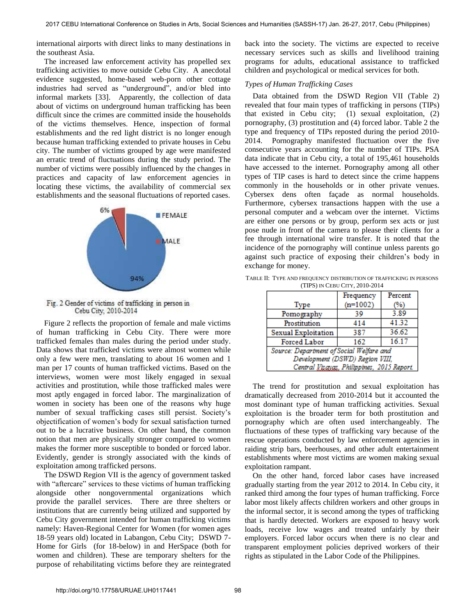international airports with direct links to many destinations in the southeast Asia.

The increased law enforcement activity has propelled sex trafficking activities to move outside Cebu City. A anecdotal evidence suggested, home-based web-porn other cottage industries had served as "underground", and/or bled into informal markets [33]. Apparently, the collection of data about of victims on underground human trafficking has been difficult since the crimes are committed inside the households of the victims themselves. Hence, inspection of formal establishments and the red light district is no longer enough because human trafficking extended to private houses in Cebu city. The number of victims grouped by age were manifested an erratic trend of fluctuations during the study period. The number of victims were possibly influenced by the changes in practices and capacity of law enforcement agencies in locating these victims, the availability of commercial sex establishments and the seasonal fluctuations of reported cases.



Fig. 2 Gender of victims of trafficking in person in Cebu City, 2010-2014

Figure 2 reflects the proportion of female and male victims of human trafficking in Cebu City. There were more trafficked females than males during the period under study. Data shows that trafficked victims were almost women while only a few were men, translating to about 16 women and 1 man per 17 counts of human trafficked victims. Based on the interviews, women were most likely engaged in sexual activities and prostitution, while those trafficked males were most aptly engaged in forced labor. The marginalization of women in society has been one of the reasons why huge number of sexual trafficking cases still persist. Society's objectification of women's body for sexual satisfaction turned out to be a lucrative business. On other hand, the common notion that men are physically stronger compared to women makes the former more susceptible to bonded or forced labor. Evidently, gender is strongly associated with the kinds of exploitation among trafficked persons.

The DSWD Region VII is the agency of government tasked with "aftercare" services to these victims of human trafficking alongside other nongovernmental organizations which provide the parallel services. There are three shelters or institutions that are currently being utilized and supported by Cebu City government intended for human trafficking victims namely: Haven-Regional Center for Women (for women ages 18-59 years old) located in Labangon, Cebu City; DSWD 7- Home for Girls (for 18-below) in and HerSpace (both for women and children). These are temporary shelters for the purpose of rehabilitating victims before they are reintegrated

back into the society. The victims are expected to receive necessary services such as skills and livelihood training programs for adults, educational assistance to trafficked children and psychological or medical services for both.

## *Types of Human Trafficking Cases*

Data obtained from the DSWD Region VII (Table 2) revealed that four main types of trafficking in persons (TIPs) that existed in Cebu city; (1) sexual exploitation, (2) pornography, (3) prostitution and (4) forced labor. Table 2 the type and frequency of TIPs reposted during the period 2010- 2014. Pornography manifested fluctuation over the five consecutive years accounting for the number of TIPs. PSA data indicate that in Cebu city, a total of 195,461 households have accessed to the internet. Pornography among all other types of TIP cases is hard to detect since the crime happens commonly in the households or in other private venues. Cybersex dens often façade as normal households. Furthermore, cybersex transactions happen with the use a personal computer and a webcam over the internet. Victims are either one persons or by group, perform sex acts or just pose nude in front of the camera to please their clients for a fee through international wire transfer. It is noted that the incidence of the pornography will continue unless parents go against such practice of exposing their children's body in exchange for money.

|                                            | Frequency  | Percent |  |  |  |  |  |
|--------------------------------------------|------------|---------|--|--|--|--|--|
| Type                                       | $(n=1002)$ | %)      |  |  |  |  |  |
| Pomography                                 | 39         | 3.89    |  |  |  |  |  |
| Prostitution                               | 414        | 41.32   |  |  |  |  |  |
| Sexual Exploitation                        | 387        | 36.62   |  |  |  |  |  |
| Forced Labor                               | 162        | 16.17   |  |  |  |  |  |
| Source: Department of Social Welfare and   |            |         |  |  |  |  |  |
| Development (DSWD) Region VIII,            |            |         |  |  |  |  |  |
| Central Visavas, Philippines, 2015 Report. |            |         |  |  |  |  |  |

TABLE II: TYPE AND FREQUENCY DISTRIBUTION OF TRAFFICKING IN PERSONS (TIPS) IN CEBU CITY, 2010-2014

The trend for prostitution and sexual exploitation has dramatically decreased from 2010-2014 but it accounted the most dominant type of human trafficking activities. Sexual exploitation is the broader term for both prostitution and pornography which are often used interchangeably. The fluctuations of these types of trafficking vary because of the rescue operations conducted by law enforcement agencies in raiding strip bars, beerhouses, and other adult entertainment establishments where most victims are women making sexual exploitation rampant.

On the other hand, forced labor cases have increased gradually starting from the year 2012 to 2014. In Cebu city, it ranked third among the four types of human trafficking. Force labor most likely affects children workers and other groups in the informal sector, it is second among the types of trafficking that is hardly detected. Workers are exposed to heavy work loads, receive low wages and treated unfairly by their employers. Forced labor occurs when there is no clear and transparent employment policies deprived workers of their rights as stipulated in the Labor Code of the Philippines.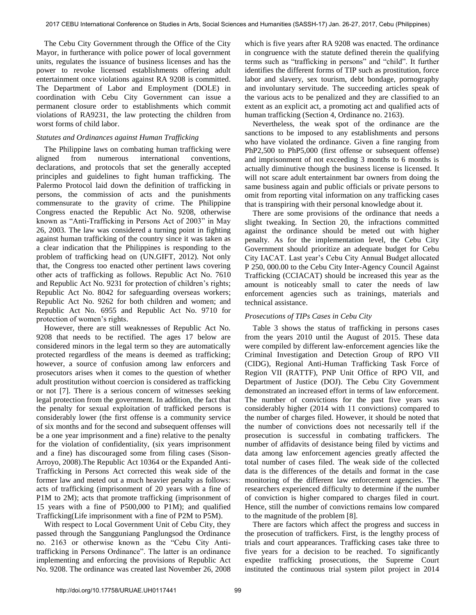The Cebu City Government through the Office of the City Mayor, in furtherance with police power of local government units, regulates the issuance of business licenses and has the power to revoke licensed establishments offering adult entertainment once violations against RA 9208 is committed. The Department of Labor and Employment (DOLE) in coordination with Cebu City Government can issue a permanent closure order to establishments which commit violations of RA9231, the law protecting the children from worst forms of child labor.

## *Statutes and Ordinances against Human Trafficking*

The Philippine laws on combating human trafficking were aligned from numerous international conventions, declarations, and protocols that set the generally accepted principles and guidelines to fight human trafficking. The Palermo Protocol laid down the definition of trafficking in persons, the commission of acts and the punishments commensurate to the gravity of crime*.* The Philippine Congress enacted the Republic Act No. 9208, otherwise known as "Anti-Trafficking in Persons Act of 2003" in May 26, 2003*.* The law was considered a turning point in fighting against human trafficking of the country since it was taken as a clear indication that the Philippines is responding to the problem of trafficking head on (UN.GIFT, 2012)*.* Not only that, the Congress too enacted other pertinent laws covering other acts of trafficking as follows. Republic Act No. 7610 and Republic Act No. 9231 for protection of children's rights; Republic Act No. 8042 for safeguarding overseas workers; Republic Act No. 9262 for both children and women; and Republic Act No. 6955 and Republic Act No. 9710 for protection of women's rights.

However, there are still weaknesses of Republic Act No. 9208 that needs to be rectified. The ages 17 below are considered minors in the legal term so they are automatically protected regardless of the means is deemed as trafficking; however, a source of confusion among law enforcers and prosecutors arises when it comes to the question of whether adult prostitution without coercion is considered as trafficking or not [7]. There is a serious concern of witnesses seeking legal protection from the government. In addition, the fact that the penalty for sexual exploitation of trafficked persons is considerably lower (the first offense is a community service of six months and for the second and subsequent offenses will be a one year imprisonment and a fine) relative to the penalty for the violation of confidentiality, (six years imprisonment and a fine) has discouraged some from filing cases (Sison-Arroyo, 2008).The Republic Act 10364 or the Expanded Anti-Trafficking in Persons Act corrected this weak side of the former law and meted out a much heavier penalty as follows: acts of trafficking (imprisonment of 20 years with a fine of P1M to 2M); acts that promote trafficking (imprisonment of 15 years with a fine of P500,000 to P1M); and qualified Trafficking(Life imprisonment with a fine of P2M to P5M).

With respect to Local Government Unit of Cebu City, they passed through the Sangguniang Panglungsod the Ordinance no. 2163 or otherwise known as the "Cebu City Antitrafficking in Persons Ordinance". The latter is an ordinance implementing and enforcing the provisions of Republic Act No. 9208. The ordinance was created last November 26, 2008 which is five years after RA 9208 was enacted. The ordinance in congruence with the statute defined therein the qualifying terms such as "trafficking in persons" and "child". It further identifies the different forms of TIP such as prostitution, force labor and slavery, sex tourism, debt bondage, pornography and involuntary servitude. The succeeding articles speak of the various acts to be penalized and they are classified to an extent as an explicit act, a promoting act and qualified acts of human trafficking (Section 4, Ordinance no. 2163).

Nevertheless, the weak spot of the ordinance are the sanctions to be imposed to any establishments and persons who have violated the ordinance. Given a fine ranging from PhP2,500 to PhP5,000 (first offense or subsequent offense) and imprisonment of not exceeding 3 months to 6 months is actually diminutive though the business license is licensed. It will not scare adult entertainment bar owners from doing the same business again and public officials or private persons to omit from reporting vital information on any trafficking cases that is transpiring with their personal knowledge about it.

There are some provisions of the ordinance that needs a slight tweaking. In Section 20, the infractions committed against the ordinance should be meted out with higher penalty. As for the implementation level, the Cebu City Government should prioritize an adequate budget for Cebu City IACAT. Last year's Cebu City Annual Budget allocated P 250, 000.00 to the Cebu City Inter-Agency Council Against Trafficking (CCIACAT) should be increased this year as the amount is noticeably small to cater the needs of law enforcement agencies such as trainings, materials and technical assistance.

## *Prosecutions of TIPs Cases in Cebu City*

Table 3 shows the status of trafficking in persons cases from the years 2010 until the August of 2015. These data were compiled by different law-enforcement agencies like the Criminal Investigation and Detection Group of RPO VII (CIDG), Regional Anti-Human Trafficking Task Force of Region VII (RATTF), PNP Unit Office of RPO VII, and Department of Justice (DOJ). The Cebu City Government demonstrated an increased effort in terms of law enforcement. The number of convictions for the past five years was considerably higher (2014 with 11 convictions) compared to the number of charges filed. However, it should be noted that the number of convictions does not necessarily tell if the prosecution is successful in combating traffickers. The number of affidavits of desistance being filed by victims and data among law enforcement agencies greatly affected the total number of cases filed. The weak side of the collected data is the differences of the details and format in the case monitoring of the different law enforcement agencies. The researchers experienced difficulty to determine if the number of conviction is higher compared to charges filed in court. Hence, still the number of convictions remains low compared to the magnitude of the problem [8].

There are factors which affect the progress and success in the prosecution of traffickers. First, is the lengthy process of trials and court appearances. Trafficking cases take three to five years for a decision to be reached. To significantly expedite trafficking prosecutions, the Supreme Court instituted the continuous trial system pilot project in 2014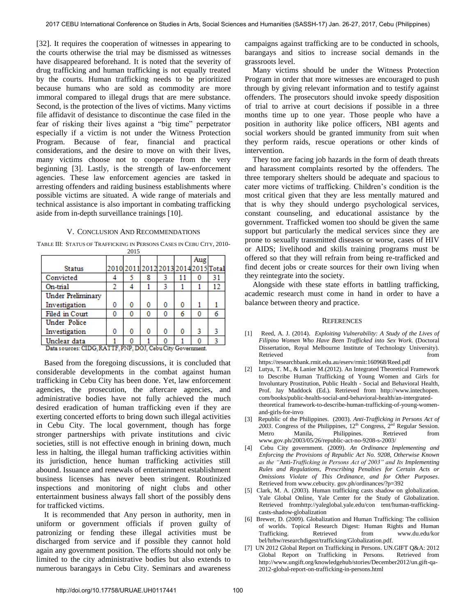[32]. It requires the cooperation of witnesses in appearing to the courts otherwise the trial may be dismissed as witnesses have disappeared beforehand. It is noted that the severity of drug trafficking and human trafficking is not equally treated by the courts. Human trafficking needs to be prioritized because humans who are sold as commodity are more immoral compared to illegal drugs that are mere substance. Second, is the protection of the lives of victims. Many victims file affidavit of desistance to discontinue the case filed in the fear of risking their lives against a "big time" perpetrator especially if a victim is not under the Witness Protection Program. Because of fear, financial and practical considerations, and the desire to move on with their lives, many victims choose not to cooperate from the very beginning [3]. Lastly, is the strength of law-enforcement agencies. These law enforcement agencies are tasked in arresting offenders and raiding business establishments where possible victims are situated. A wide range of materials and technical assistance is also important in combating trafficking aside from in-depth surveillance trainings [10].

#### V. CONCLUSION AND RECOMMENDATIONS

TABLE III: STATUS OF TRAFFICKING IN PERSONS CASES IN CEBU CITY, 2010- 2015

|                                          |   |   |   |   |    | Aug                                 |    |
|------------------------------------------|---|---|---|---|----|-------------------------------------|----|
| <b>Status</b>                            |   |   |   |   |    | 2010 2011 2012 2013 2014 2015 Total |    |
| Convicted                                |   |   | 8 |   | 11 |                                     | 31 |
| On-trial                                 | 2 |   |   |   |    |                                     |    |
| <b>Under Preliminary</b>                 |   |   |   |   |    |                                     |    |
| Investigation                            | 0 | O | 0 | 0 | o  |                                     |    |
| Filed in Court                           | 0 |   | 0 |   | 6  | 0                                   |    |
| <b>Under Police</b>                      |   |   |   |   |    |                                     |    |
| Investigation                            | 0 | o | 0 | 0 | 0  | 3                                   |    |
| Unclear data                             |   |   |   |   |    |                                     |    |
| <b>COLLINS CO.</b><br><b>Designation</b> |   |   |   |   |    |                                     |    |

Data sources: CIDG, RATTF, PNP, DOJ, Cebu City Government.

Based from the foregoing discussions, it is concluded that considerable developments in the combat against human trafficking in Cebu City has been done. Yet, law enforcement agencies, the prosecution, the aftercare agencies, and administrative bodies have not fully achieved the much desired eradication of human trafficking even if they are exerting concerted efforts to bring down such illegal activities in Cebu City. The local government, though has forge stronger partnerships with private institutions and civic societies, still is not effective enough in brining down, much less in halting, the illegal human trafficking activities within its jurisdiction, hence human trafficking activities still abound. Issuance and renewals of entertainment establishment business licenses has never been stringent. Routinized inspections and monitoring of night clubs and other entertainment business always fall short of the possibly dens for trafficked victims.

It is recommended that Any person in authority, men in uniform or government officials if proven guilty of patronizing or fending these illegal activities must be discharged from service and if possible they cannot hold again any government position. The efforts should not only be limited to the city administrative bodies but also extends to numerous barangays in Cebu City. Seminars and awareness

campaigns against trafficking are to be conducted in schools, barangays and sitios to increase social demands in the grassroots level.

Many victims should be under the Witness Protection Program in order that more witnesses are encouraged to push through by giving relevant information and to testify against offenders. The prosecutors should invoke speedy disposition of trial to arrive at court decisions if possible in a three months time up to one year. Those people who have a position in authority like police officers, NBI agents and social workers should be granted immunity from suit when they perform raids, rescue operations or other kinds of intervention.

They too are facing job hazards in the form of death threats and harassment complaints resorted by the offenders. The three temporary shelters should be adequate and spacious to cater more victims of trafficking. Children's condition is the most critical given that they are less mentally matured and that is why they should undergo psychological services, constant counseling, and educational assistance by the government. Trafficked women too should be given the same support but particularly the medical services since they are prone to sexually transmitted diseases or worse, cases of HIV or AIDS; livelihood and skills training programs must be offered so that they will refrain from being re-trafficked and find decent jobs or create sources for their own living when they reintegrate into the society.

Alongside with these state efforts in battling trafficking, academic research must come in hand in order to have a balance between theory and practice.

#### **REFERENCES**

- [1] Reed, A. J. (2014). *Exploiting Vulnerability: A Study of the Lives of Filipino Women Who Have Been Trafficked into Sex Work*. (Doctoral Dissertation, Royal Melbourne Institute of Technology University). Retrieved from the state of  $\sim$ https://researchbank.rmit.edu.au/eserv/rmit:160968/Reed.pdf
- [2] Lutya, T. M., & Lanier M.(2012). An Integrated Theoretical Framework to Describe Human Trafficking of Young Women and Girls for Involuntary Prostitution, Public Health - Social and Behavioral Health, Prof. Jay Maddock (Ed.). Retrieved from http://www.intechopen. com/books/public-health-social-and-behavioral-health/an-intergratedtheoretical framework-to-describe-human-trafficking-of-young-womenand-girls-for-invo
- [3] Republic of the Philippines. (2003). *Anti-Trafficking in Persons Act of*  2003. Congress of the Philippines,  $12<sup>th</sup>$  Congress,  $2<sup>nd</sup>$  Regular Session. Metro Manila, Philippines. Retrieved from www.gov.ph/2003/05/26/republic-act-no-9208-s-2003/
- [4] Cebu City government. (2009). *An Ordinance Implementing and Enforcing the Provisions of Republic Act No. 9208, Otherwise Known as the "*Anti*-Trafficking in Persons Act of 2003" and Its Implementing Rules and Regulations, Prescribing Penalties for Certain Acts or Omissions Violate of This Ordinance, and for Other Purposes*. Retrieved from www.cebucity. gov.ph/ordinances/?p=392
- [5] Clark, M. A. (2003). Human trafficking casts shadow on globalization. Yale Global Online, Yale Center for the Study of Globalization. Retrieved fromhttp://yaleglobal.yale.edu/con tent/human-traffickingcasts-shadow-globalization
- [6] Brewer, D. (2009). Globalization and Human Trafficking: The collision of worlds. Topical Research Digest: Human Rights and Human Retrieved from www.du.edu/kor bel/hrhw/researchdigest/trafficking/Globalization.pdf.
- [7] UN 2012 Global Report on Trafficking in Persons. UN.GIFT Q&A: 2012 Global Report on Trafficking in Persons. Retrieved from http://www.ungift.org/knowledgehub/stories/December2012/un.gift-qa-2012-global-report-on-trafficking-in-persons.html